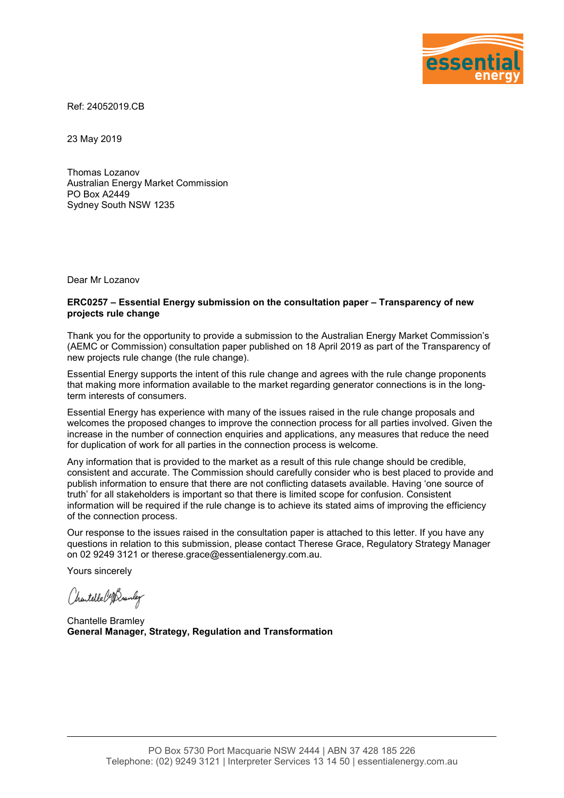

Ref: 24052019.CB

23 May 2019

Thomas Lozanov Australian Energy Market Commission PO Box A2449 Sydney South NSW 1235

Dear Mr Lozanov

#### **ERC0257 – Essential Energy submission on the consultation paper – Transparency of new projects rule change**

Thank you for the opportunity to provide a submission to the Australian Energy Market Commission's (AEMC or Commission) consultation paper published on 18 April 2019 as part of the Transparency of new projects rule change (the rule change).

Essential Energy supports the intent of this rule change and agrees with the rule change proponents that making more information available to the market regarding generator connections is in the longterm interests of consumers.

Essential Energy has experience with many of the issues raised in the rule change proposals and welcomes the proposed changes to improve the connection process for all parties involved. Given the increase in the number of connection enquiries and applications, any measures that reduce the need for duplication of work for all parties in the connection process is welcome.

Any information that is provided to the market as a result of this rule change should be credible, consistent and accurate. The Commission should carefully consider who is best placed to provide and publish information to ensure that there are not conflicting datasets available. Having 'one source of truth' for all stakeholders is important so that there is limited scope for confusion. Consistent information will be required if the rule change is to achieve its stated aims of improving the efficiency of the connection process.

Our response to the issues raised in the consultation paper is attached to this letter. If you have any questions in relation to this submission, please contact Therese Grace, Regulatory Strategy Manager on 02 9249 3121 or therese.grace@essentialenergy.com.au.

Yours sincerely

Chartelle Cofferantly

Chantelle Bramley **General Manager, Strategy, Regulation and Transformation**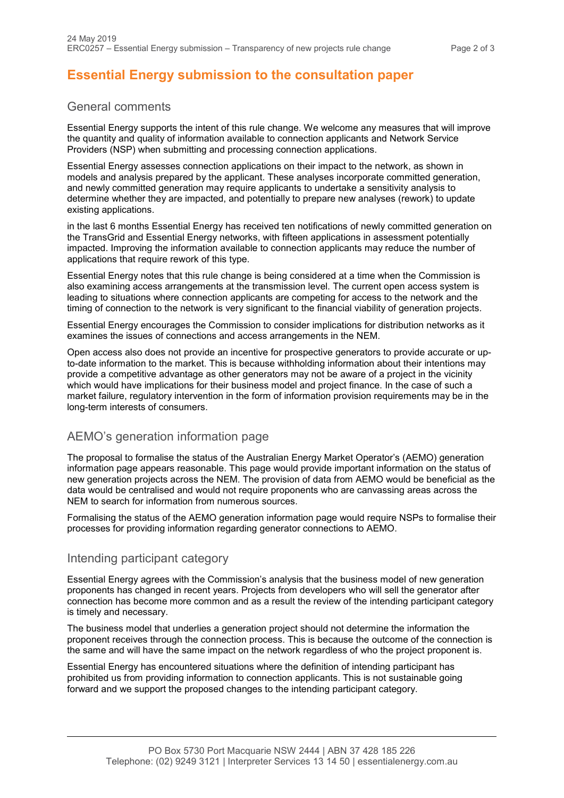# **Essential Energy submission to the consultation paper**

## General comments

Essential Energy supports the intent of this rule change. We welcome any measures that will improve the quantity and quality of information available to connection applicants and Network Service Providers (NSP) when submitting and processing connection applications.

Essential Energy assesses connection applications on their impact to the network, as shown in models and analysis prepared by the applicant. These analyses incorporate committed generation, and newly committed generation may require applicants to undertake a sensitivity analysis to determine whether they are impacted, and potentially to prepare new analyses (rework) to update existing applications.

in the last 6 months Essential Energy has received ten notifications of newly committed generation on the TransGrid and Essential Energy networks, with fifteen applications in assessment potentially impacted. Improving the information available to connection applicants may reduce the number of applications that require rework of this type.

Essential Energy notes that this rule change is being considered at a time when the Commission is also examining access arrangements at the transmission level. The current open access system is leading to situations where connection applicants are competing for access to the network and the timing of connection to the network is very significant to the financial viability of generation projects.

Essential Energy encourages the Commission to consider implications for distribution networks as it examines the issues of connections and access arrangements in the NEM.

Open access also does not provide an incentive for prospective generators to provide accurate or upto-date information to the market. This is because withholding information about their intentions may provide a competitive advantage as other generators may not be aware of a project in the vicinity which would have implications for their business model and project finance. In the case of such a market failure, regulatory intervention in the form of information provision requirements may be in the long-term interests of consumers.

# AEMO's generation information page

The proposal to formalise the status of the Australian Energy Market Operator's (AEMO) generation information page appears reasonable. This page would provide important information on the status of new generation projects across the NEM. The provision of data from AEMO would be beneficial as the data would be centralised and would not require proponents who are canvassing areas across the NEM to search for information from numerous sources.

Formalising the status of the AEMO generation information page would require NSPs to formalise their processes for providing information regarding generator connections to AEMO.

# Intending participant category

Essential Energy agrees with the Commission's analysis that the business model of new generation proponents has changed in recent years. Projects from developers who will sell the generator after connection has become more common and as a result the review of the intending participant category is timely and necessary.

The business model that underlies a generation project should not determine the information the proponent receives through the connection process. This is because the outcome of the connection is the same and will have the same impact on the network regardless of who the project proponent is.

Essential Energy has encountered situations where the definition of intending participant has prohibited us from providing information to connection applicants. This is not sustainable going forward and we support the proposed changes to the intending participant category.